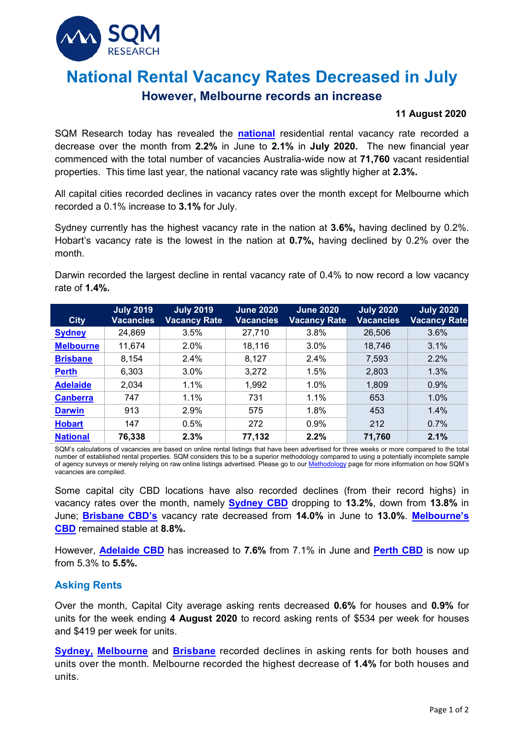

# **National Rental Vacancy Rates Decreased in July**

# **However, Melbourne records an increase**

#### **11 August 2020**

SQM Research today has revealed the **[national](https://sqmresearch.com.au/graph_vacancy.php?national=1&t=1)** residential rental vacancy rate recorded a decrease over the month from **2.2%** in June to **2.1%** in **July 2020.** The new financial year commenced with the total number of vacancies Australia-wide now at **71,760** vacant residential properties. This time last year, the national vacancy rate was slightly higher at **2.3%.**

All capital cities recorded declines in vacancy rates over the month except for Melbourne which recorded a 0.1% increase to **3.1%** for July.

Sydney currently has the highest vacancy rate in the nation at **3.6%,** having declined by 0.2%. Hobart's vacancy rate is the lowest in the nation at **0.7%,** having declined by 0.2% over the month.

Darwin recorded the largest decline in rental vacancy rate of 0.4% to now record a low vacancy rate of **1.4%.**

| <b>City</b>      | <b>July 2019</b><br>Vacancies | <b>July 2019</b><br><b>Vacancy Rate</b> | <b>June 2020</b><br><b>Vacancies</b> | <b>June 2020</b><br><b>Vacancy Rate</b> | <b>July 2020</b><br><b>Vacancies</b> | <b>July 2020</b><br><b>Vacancy Rate</b> |
|------------------|-------------------------------|-----------------------------------------|--------------------------------------|-----------------------------------------|--------------------------------------|-----------------------------------------|
| <b>Sydney</b>    | 24,869                        | 3.5%                                    | 27,710                               | 3.8%                                    | 26,506                               | 3.6%                                    |
| <b>Melbourne</b> | 11,674                        | 2.0%                                    | 18,116                               | 3.0%                                    | 18,746                               | 3.1%                                    |
| <b>Brisbane</b>  | 8,154                         | 2.4%                                    | 8,127                                | 2.4%                                    | 7,593                                | 2.2%                                    |
| <b>Perth</b>     | 6,303                         | 3.0%                                    | 3,272                                | 1.5%                                    | 2,803                                | 1.3%                                    |
| <b>Adelaide</b>  | 2,034                         | 1.1%                                    | 1,992                                | 1.0%                                    | 1,809                                | 0.9%                                    |
| <b>Canberra</b>  | 747                           | 1.1%                                    | 731                                  | 1.1%                                    | 653                                  | 1.0%                                    |
| <b>Darwin</b>    | 913                           | 2.9%                                    | 575                                  | 1.8%                                    | 453                                  | 1.4%                                    |
| <b>Hobart</b>    | 147                           | 0.5%                                    | 272                                  | 0.9%                                    | 212                                  | 0.7%                                    |
| <b>National</b>  | 76,338                        | 2.3%                                    | 77,132                               | 2.2%                                    | 71,760                               | 2.1%                                    |

SQM's calculations of vacancies are based on online rental listings that have been advertised for three weeks or more compared to the total number of established rental properties. SQM considers this to be a superior methodology compared to using a potentially incomplete sample of agency surveys or merely relying on raw online listings advertised. Please go to ou[r Methodology](https://sqmresearch.com.au/graph_vacancy.php?region=nsw::Sydney&type=c&t=1#terms) page for more information on how SQM's vacancies are compiled.

Some capital city CBD locations have also recorded declines (from their record highs) in vacancy rates over the month, namely **[Sydney CBD](https://sqmresearch.com.au/graph_vacancy.php?postcode=2000&t=1)** dropping to **13.2%**, down from **13.8%** in June; **[Brisbane CBD'](https://sqmresearch.com.au/graph_vacancy.php?postcode=4000&t=1)s** vacancy rate decreased from **14.0%** in June to **13.0%**. **[Melbourne'](https://sqmresearch.com.au/graph_vacancy.php?postcode=3000&t=1)s CBD** remained stable at **8.8%.**

However, **[Adelaide CBD](https://sqmresearch.com.au/graph_vacancy.php?postcode=5000&t=1)** has increased to **7.6%** from 7.1% in June and **[Perth CBD](https://sqmresearch.com.au/graph_vacancy.php?postcode=6000&t=1)** is now up from 5.3% to **5.5%.**

## **Asking Rents**

Over the month, Capital City average asking rents decreased **0.6%** for houses and **0.9%** for units for the week ending **4 August 2020** to record asking rents of \$534 per week for houses and \$419 per week for units.

**[Sydney,](https://sqmresearch.com.au/weekly-rents.php?region=nsw%3A%3ASydney&type=c&t=1) [Melbourne](https://sqmresearch.com.au/weekly-rents.php?region=vic%3A%3AMelbourne&type=c&t=1)** and **[Brisbane](https://sqmresearch.com.au/weekly-rents.php?region=qld%3A%3ABrisbane&type=c&t=1)** recorded declines in asking rents for both houses and units over the month. Melbourne recorded the highest decrease of **1.4%** for both houses and units.